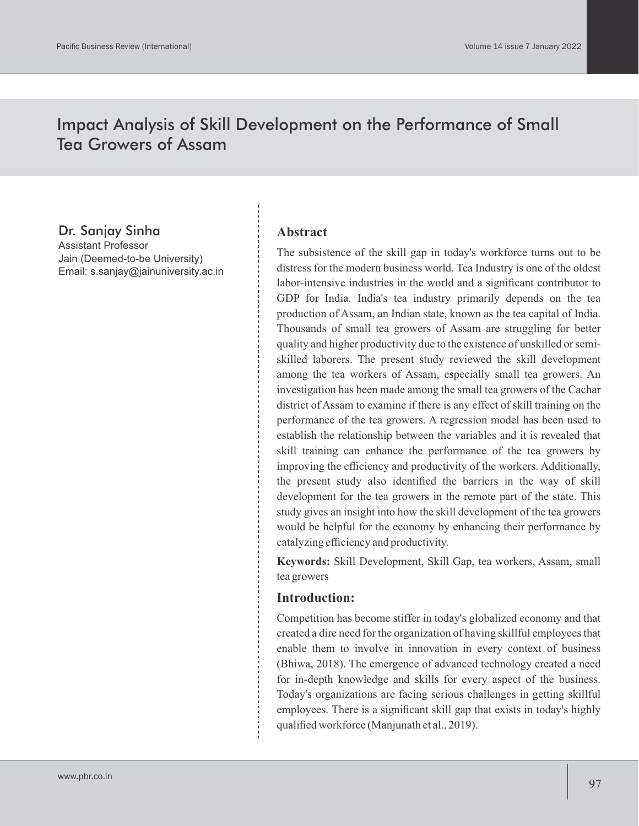# Impact Analysis of Skill Development on the Performance of Small Tea Growers of Assam

### Dr. Sanjay Sinha

Assistant Professor Jain (Deemed-to-be University) Email: s.sanjay@jainuniversity.ac.in

#### **Abstract**

The subsistence of the skill gap in today's workforce turns out to be distress for the modern business world. Tea Industry is one of the oldest labor-intensive industries in the world and a significant contributor to GDP for India. India's tea industry primarily depends on the tea production of Assam, an Indian state, known as the tea capital of India. Thousands of small tea growers of Assam are struggling for better quality and higher productivity due to the existence of unskilled or semiskilled laborers. The present study reviewed the skill development among the tea workers of Assam, especially small tea growers. An investigation has been made among the small tea growers of the Cachar district of Assam to examine if there is any effect of skill training on the performance of the tea growers. A regression model has been used to establish the relationship between the variables and it is revealed that skill training can enhance the performance of the tea growers by improving the efficiency and productivity of the workers. Additionally, the present study also identified the barriers in the way of skill development for the tea growers in the remote part of the state. This study gives an insight into how the skill development of the tea growers would be helpful for the economy by enhancing their performance by catalyzing efficiency and productivity.

**Keywords:** Skill Development, Skill Gap, tea workers, Assam, small tea growers

#### **Introduction:**

Competition has become stiffer in today's globalized economy and that created a dire need for the organization of having skillful employees that enable them to involve in innovation in every context of business (Bhiwa, 2018). The emergence of advanced technology created a need for in-depth knowledge and skills for every aspect of the business. Today's organizations are facing serious challenges in getting skillful employees. There is a significant skill gap that exists in today's highly qualified workforce (Manjunath et al., 2019).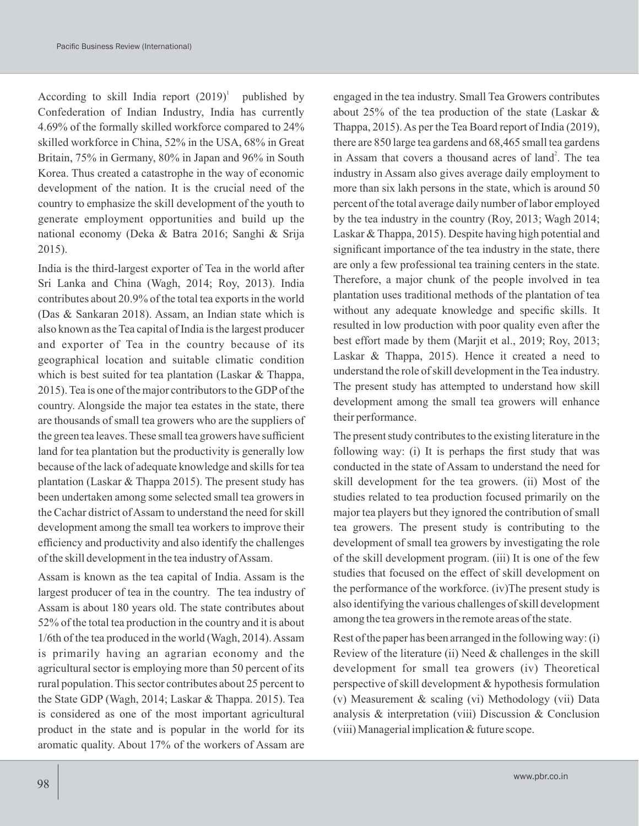According to skill India report  $(2019)^1$  published by Confederation of Indian Industry, India has currently 4.69% of the formally skilled workforce compared to 24% skilled workforce in China, 52% in the USA, 68% in Great Britain, 75% in Germany, 80% in Japan and 96% in South Korea. Thus created a catastrophe in the way of economic development of the nation. It is the crucial need of the country to emphasize the skill development of the youth to generate employment opportunities and build up the national economy (Deka & Batra 2016; Sanghi & Srija 2015).

India is the third-largest exporter of Tea in the world after Sri Lanka and China (Wagh, 2014; Roy, 2013). India contributes about 20.9% of the total tea exports in the world (Das & Sankaran 2018). Assam, an Indian state which is also known as the Tea capital of India is the largest producer and exporter of Tea in the country because of its geographical location and suitable climatic condition which is best suited for tea plantation (Laskar & Thappa, 2015). Tea is one of the major contributors to the GDPof the country. Alongside the major tea estates in the state, there are thousands of small tea growers who are the suppliers of the green tea leaves. These small tea growers have sufficient land for tea plantation but the productivity is generally low because of the lack of adequate knowledge and skills for tea plantation (Laskar & Thappa 2015). The present study has been undertaken among some selected small tea growers in the Cachar district of Assam to understand the need for skill development among the small tea workers to improve their efficiency and productivity and also identify the challenges of the skill development in the tea industry of Assam.

Assam is known as the tea capital of India. Assam is the largest producer of tea in the country. The tea industry of Assam is about 180 years old. The state contributes about 52% of the total tea production in the country and it is about 1/6th of the tea produced in the world (Wagh, 2014). Assam is primarily having an agrarian economy and the agricultural sector is employing more than 50 percent of its rural population. This sector contributes about 25 percent to the State GDP (Wagh, 2014; Laskar & Thappa. 2015). Tea is considered as one of the most important agricultural product in the state and is popular in the world for its aromatic quality. About 17% of the workers of Assam are

engaged in the tea industry. Small Tea Growers contributes about 25% of the tea production of the state (Laskar & Thappa, 2015). As per the Tea Board report of India (2019), there are 850 large tea gardens and 68,465 small tea gardens in Assam that covers a thousand acres of land<sup>2</sup>. The tea industry in Assam also gives average daily employment to more than six lakh persons in the state, which is around 50 percent of the total average daily number of labor employed by the tea industry in the country (Roy, 2013; Wagh 2014; Laskar & Thappa, 2015). Despite having high potential and significant importance of the tea industry in the state, there are only a few professional tea training centers in the state. Therefore, a major chunk of the people involved in tea plantation uses traditional methods of the plantation of tea without any adequate knowledge and specific skills. It resulted in low production with poor quality even after the best effort made by them (Marjit et al., 2019; Roy, 2013; Laskar & Thappa, 2015). Hence it created a need to understand the role of skill development in the Tea industry. The present study has attempted to understand how skill development among the small tea growers will enhance their performance.

The present study contributes to the existing literature in the following way: (i) It is perhaps the first study that was conducted in the state of Assam to understand the need for skill development for the tea growers. (ii) Most of the studies related to tea production focused primarily on the major tea players but they ignored the contribution of small tea growers. The present study is contributing to the development of small tea growers by investigating the role of the skill development program. (iii) It is one of the few studies that focused on the effect of skill development on the performance of the workforce. (iv)The present study is also identifying the various challenges of skill development among the tea growers in the remote areas of the state.

Rest of the paper has been arranged in the following way: (i) Review of the literature (ii) Need & challenges in the skill development for small tea growers (iv) Theoretical perspective of skill development & hypothesis formulation (v) Measurement & scaling (vi) Methodology (vii) Data analysis & interpretation (viii) Discussion & Conclusion (viii) Managerial implication & future scope.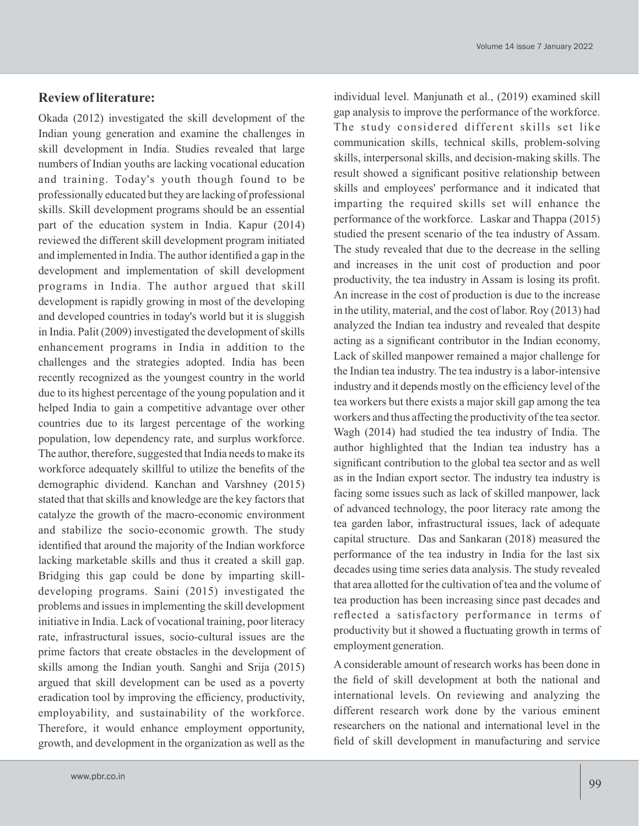# **Review of literature:** Okada (2012) investigated the skill development of the

Indian young generation and examine the challenges in skill development in India. Studies revealed that large numbers of Indian youths are lacking vocational education and training. Today's youth though found to be professionally educated but they are lacking of professional skills. Skill development programs should be an essential part of the education system in India. Kapur (2014) reviewed the different skill development program initiated and implemented in India. The author identified a gap in the development and implementation of skill development programs in India. The author argued that skill development is rapidly growing in most of the developing and developed countries in today's world but it is sluggish in India. Palit (2009) investigated the development of skills enhancement programs in India in addition to the challenges and the strategies adopted. India has been recently recognized as the youngest country in the world due to its highest percentage of the young population and it helped India to gain a competitive advantage over other countries due to its largest percentage of the working population, low dependency rate, and surplus workforce. The author, therefore, suggested that India needs to make its workforce adequately skillful to utilize the benefits of the demographic dividend. Kanchan and Varshney (2015) stated that that skills and knowledge are the key factors that catalyze the growth of the macro-economic environment and stabilize the socio-economic growth. The study identified that around the majority of the Indian workforce lacking marketable skills and thus it created a skill gap. Bridging this gap could be done by imparting skilldeveloping programs. Saini (2015) investigated the problems and issues in implementing the skill development initiative in India. Lack of vocational training, poor literacy rate, infrastructural issues, socio-cultural issues are the prime factors that create obstacles in the development of skills among the Indian youth. Sanghi and Srija (2015) argued that skill development can be used as a poverty eradication tool by improving the efficiency, productivity, employability, and sustainability of the workforce. Therefore, it would enhance employment opportunity, growth, and development in the organization as well as the

individual level. Manjunath et al., (2019) examined skill gap analysis to improve the performance of the workforce. The study considered different skills set like communication skills, technical skills, problem-solving skills, interpersonal skills, and decision-making skills. The result showed a significant positive relationship between skills and employees' performance and it indicated that imparting the required skills set will enhance the performance of the workforce. Laskar and Thappa (2015) studied the present scenario of the tea industry of Assam. The study revealed that due to the decrease in the selling and increases in the unit cost of production and poor productivity, the tea industry in Assam is losing its profit. An increase in the cost of production is due to the increase in the utility, material, and the cost of labor. Roy (2013) had analyzed the Indian tea industry and revealed that despite acting as a significant contributor in the Indian economy, Lack of skilled manpower remained a major challenge for the Indian tea industry. The tea industry is a labor-intensive industry and it depends mostly on the efficiency level of the tea workers but there exists a major skill gap among the tea workers and thus affecting the productivity of the tea sector. Wagh (2014) had studied the tea industry of India. The author highlighted that the Indian tea industry has a significant contribution to the global tea sector and as well as in the Indian export sector. The industry tea industry is facing some issues such as lack of skilled manpower, lack of advanced technology, the poor literacy rate among the tea garden labor, infrastructural issues, lack of adequate capital structure. Das and Sankaran (2018) measured the performance of the tea industry in India for the last six decades using time series data analysis. The study revealed that area allotted for the cultivation of tea and the volume of tea production has been increasing since past decades and reflected a satisfactory performance in terms of productivity but it showed a fluctuating growth in terms of employment generation.

A considerable amount of research works has been done in the field of skill development at both the national and international levels. On reviewing and analyzing the different research work done by the various eminent researchers on the national and international level in the field of skill development in manufacturing and service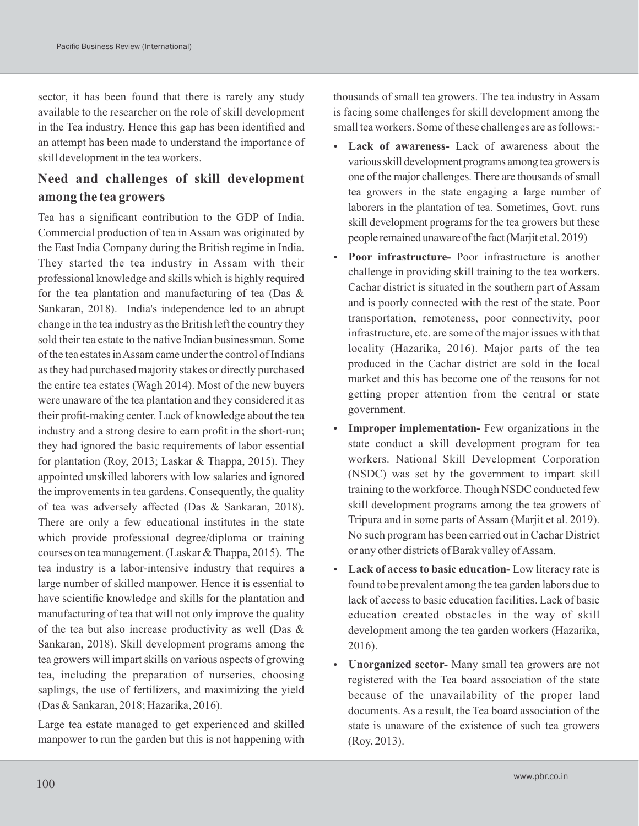sector, it has been found that there is rarely any study available to the researcher on the role of skill development in the Tea industry. Hence this gap has been identified and an attempt has been made to understand the importance of skill development in the tea workers.

# **Need and challenges of skill development among the tea growers**

Tea has a significant contribution to the GDP of India. Commercial production of tea in Assam was originated by the East India Company during the British regime in India. They started the tea industry in Assam with their professional knowledge and skills which is highly required for the tea plantation and manufacturing of tea (Das & Sankaran, 2018). India's independence led to an abrupt change in the tea industry as the British left the country they sold their tea estate to the native Indian businessman. Some of the tea estates in Assam came under the control of Indians as they had purchased majority stakes or directly purchased the entire tea estates (Wagh 2014). Most of the new buyers were unaware of the tea plantation and they considered it as their profit-making center. Lack of knowledge about the tea industry and a strong desire to earn profit in the short-run; they had ignored the basic requirements of labor essential for plantation (Roy, 2013; Laskar & Thappa, 2015). They appointed unskilled laborers with low salaries and ignored the improvements in tea gardens. Consequently, the quality of tea was adversely affected (Das & Sankaran, 2018). There are only a few educational institutes in the state which provide professional degree/diploma or training courses on tea management. (Laskar & Thappa, 2015). The tea industry is a labor-intensive industry that requires a large number of skilled manpower. Hence it is essential to have scientific knowledge and skills for the plantation and manufacturing of tea that will not only improve the quality of the tea but also increase productivity as well (Das & Sankaran, 2018). Skill development programs among the tea growers will impart skills on various aspects of growing tea, including the preparation of nurseries, choosing saplings, the use of fertilizers, and maximizing the yield (Das & Sankaran, 2018; Hazarika, 2016).

Large tea estate managed to get experienced and skilled manpower to run the garden but this is not happening with

thousands of small tea growers. The tea industry in Assam is facing some challenges for skill development among the small tea workers. Some of these challenges are as follows:-

- **Lack of awareness-** Lack of awareness about the variousskill development programs among tea growersis one of the major challenges. There are thousands of small tea growers in the state engaging a large number of laborers in the plantation of tea. Sometimes, Govt. runs skill development programs for the tea growers but these people remainedunawareofthe fact(Marjit et al.2019)
- **Poor infrastructure-** Poor infrastructure is another challenge in providing skill training to the tea workers. Cachar district is situated in the southern part of Assam and is poorly connected with the rest of the state. Poor transportation, remoteness, poor connectivity, poor infrastructure, etc. are some of the major issues with that locality (Hazarika, 2016). Major parts of the tea produced in the Cachar district are sold in the local market and this has become one of the reasons for not getting proper attention from the central or state government.
- **Improper implementation-** Few organizations in the state conduct a skill development program for tea workers. National Skill Development Corporation (NSDC) was set by the government to impart skill training to the workforce. Though NSDC conducted few skill development programs among the tea growers of Tripura and in some parts of Assam (Marjit et al. 2019). No such program has been carried out in Cachar District or any other districts of Barak valley of Assam.
- **Lack of access to basic education-** Low literacy rate is found to be prevalent among the tea garden labors due to lack of access to basic education facilities. Lack of basic education created obstacles in the way of skill development among the tea garden workers (Hazarika, 2016).
- **Unorganized sector-** Many small tea growers are not registered with the Tea board association of the state because of the unavailability of the proper land documents. As a result, the Tea board association of the state is unaware of the existence of such tea growers (Roy, 2013).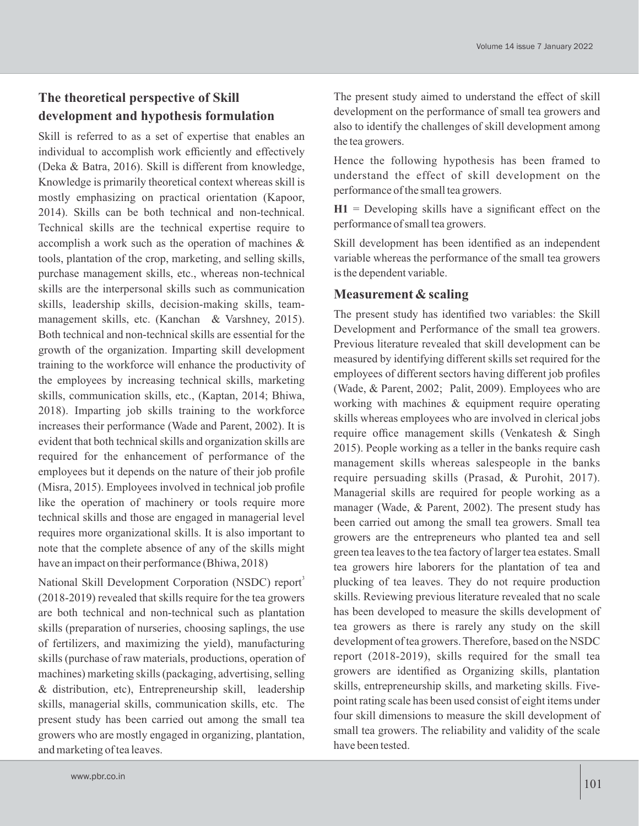## **The theoretical perspective of Skill development and hypothesis formulation**

Skill is referred to as a set of expertise that enables an individual to accomplish work efficiently and effectively (Deka & Batra, 2016). Skill is different from knowledge, Knowledge is primarily theoretical context whereas skill is mostly emphasizing on practical orientation (Kapoor, 2014). Skills can be both technical and non-technical. Technical skills are the technical expertise require to accomplish a work such as the operation of machines & tools, plantation of the crop, marketing, and selling skills, purchase management skills, etc., whereas non-technical skills are the interpersonal skills such as communication skills, leadership skills, decision-making skills, teammanagement skills, etc. (Kanchan & Varshney, 2015). Both technical and non-technical skills are essential for the growth of the organization. Imparting skill development training to the workforce will enhance the productivity of the employees by increasing technical skills, marketing skills, communication skills, etc., (Kaptan, 2014; Bhiwa, 2018). Imparting job skills training to the workforce increases their performance (Wade and Parent, 2002). It is evident that both technical skills and organization skills are required for the enhancement of performance of the employees but it depends on the nature of their job profile (Misra, 2015). Employees involved in technical job profile like the operation of machinery or tools require more technical skills and those are engaged in managerial level requires more organizational skills. It is also important to note that the complete absence of any of the skills might have an impact on their performance (Bhiwa, 2018)

National Skill Development Corporation (NSDC) report<sup>3</sup> (2018-2019) revealed that skills require for the tea growers are both technical and non-technical such as plantation skills (preparation of nurseries, choosing saplings, the use of fertilizers, and maximizing the yield), manufacturing skills (purchase of raw materials, productions, operation of machines) marketing skills (packaging, advertising, selling & distribution, etc), Entrepreneurship skill, leadership skills, managerial skills, communication skills, etc. The present study has been carried out among the small tea growers who are mostly engaged in organizing, plantation, and marketing of tea leaves.

The present study aimed to understand the effect of skill development on the performance of small tea growers and also to identify the challenges of skill development among the tea growers.

Hence the following hypothesis has been framed to understand the effect of skill development on the performance of the small tea growers.

**H1** = Developing skills have a significant effect on the performance of small tea growers.

Skill development has been identified as an independent variable whereas the performance of the small tea growers is the dependent variable.

#### **Measurement & scaling**

The present study has identified two variables: the Skill Development and Performance of the small tea growers. Previous literature revealed that skill development can be measured by identifying different skills set required for the employees of different sectors having different job profiles (Wade, & Parent, 2002; Palit, 2009). Employees who are working with machines & equipment require operating skills whereas employees who are involved in clerical jobs require office management skills (Venkatesh & Singh 2015). People working as a teller in the banks require cash management skills whereas salespeople in the banks require persuading skills (Prasad, & Purohit, 2017). Managerial skills are required for people working as a manager (Wade, & Parent, 2002). The present study has been carried out among the small tea growers. Small tea growers are the entrepreneurs who planted tea and sell green tea leaves to the tea factory of larger tea estates. Small tea growers hire laborers for the plantation of tea and plucking of tea leaves. They do not require production skills. Reviewing previous literature revealed that no scale has been developed to measure the skills development of tea growers as there is rarely any study on the skill development of tea growers. Therefore, based on the NSDC report (2018-2019), skills required for the small tea growers are identified as Organizing skills, plantation skills, entrepreneurship skills, and marketing skills. Fivepoint rating scale has been used consist of eight items under four skill dimensions to measure the skill development of small tea growers. The reliability and validity of the scale have been tested.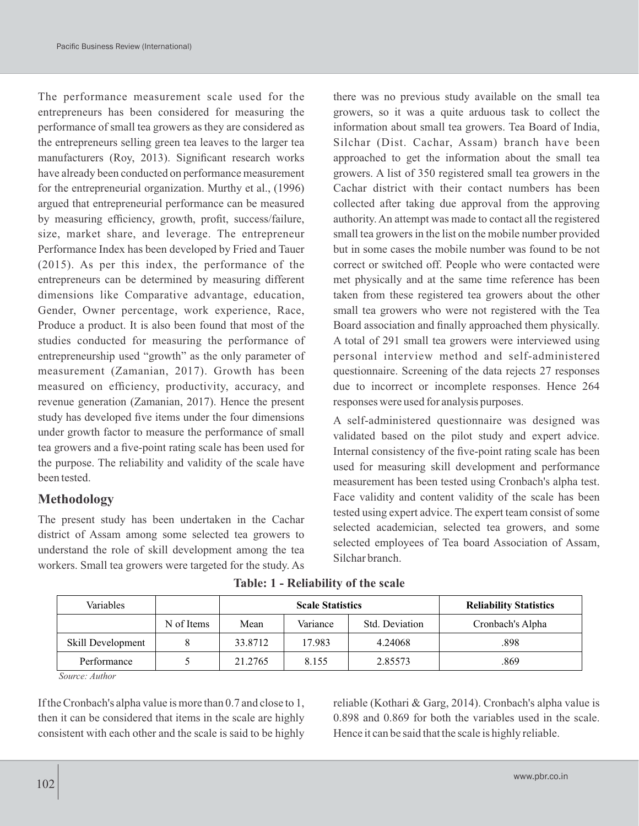The performance measurement scale used for the entrepreneurs has been considered for measuring the performance of small tea growers as they are considered as the entrepreneurs selling green tea leaves to the larger tea manufacturers (Roy, 2013). Significant research works have already been conducted on performance measurement for the entrepreneurial organization. Murthy et al., (1996) argued that entrepreneurial performance can be measured by measuring efficiency, growth, profit, success/failure, size, market share, and leverage. The entrepreneur Performance Index has been developed by Fried and Tauer (2015). As per this index, the performance of the entrepreneurs can be determined by measuring different dimensions like Comparative advantage, education, Gender, Owner percentage, work experience, Race, Produce a product. It is also been found that most of the studies conducted for measuring the performance of entrepreneurship used "growth" as the only parameter of measurement (Zamanian, 2017). Growth has been measured on efficiency, productivity, accuracy, and revenue generation (Zamanian, 2017). Hence the present study has developed five items under the four dimensions under growth factor to measure the performance of small tea growers and a five-point rating scale has been used for the purpose. The reliability and validity of the scale have been tested.

#### **Methodology**

The present study has been undertaken in the Cachar district of Assam among some selected tea growers to understand the role of skill development among the tea workers. Small tea growers were targeted for the study. As

there was no previous study available on the small tea growers, so it was a quite arduous task to collect the information about small tea growers. Tea Board of India, Silchar (Dist. Cachar, Assam) branch have been approached to get the information about the small tea growers. A list of 350 registered small tea growers in the Cachar district with their contact numbers has been collected after taking due approval from the approving authority. An attempt was made to contact all the registered small tea growers in the list on the mobile number provided but in some cases the mobile number was found to be not correct or switched off. People who were contacted were met physically and at the same time reference has been taken from these registered tea growers about the other small tea growers who were not registered with the Tea Board association and finally approached them physically. A total of 291 small tea growers were interviewed using personal interview method and self-administered questionnaire. Screening of the data rejects 27 responses due to incorrect or incomplete responses. Hence 264 responses were used for analysis purposes.

A self-administered questionnaire was designed was validated based on the pilot study and expert advice. Internal consistency of the five-point rating scale has been used for measuring skill development and performance measurement has been tested using Cronbach's alpha test. Face validity and content validity of the scale has been tested using expert advice. The expert team consist of some selected academician, selected tea growers, and some selected employees of Tea board Association of Assam, Silchar branch.

| Variables         |            | <b>Scale Statistics</b> |          |                | <b>Reliability Statistics</b> |
|-------------------|------------|-------------------------|----------|----------------|-------------------------------|
|                   | N of Items | Mean                    | Variance | Std. Deviation | Cronbach's Alpha              |
| Skill Development | 8          | 33.8712                 | 17.983   | 4.24068        | .898                          |
| Performance       |            | 21.2765                 | 8.155    | 2.85573        | .869                          |

**Table: 1 - Reliability of the scale**

*Source: Author*

If the Cronbach's alpha value is more than 0.7 and close to 1, then it can be considered that items in the scale are highly consistent with each other and the scale is said to be highly reliable (Kothari & Garg, 2014). Cronbach's alpha value is 0.898 and 0.869 for both the variables used in the scale. Hence it can be said that the scale is highly reliable.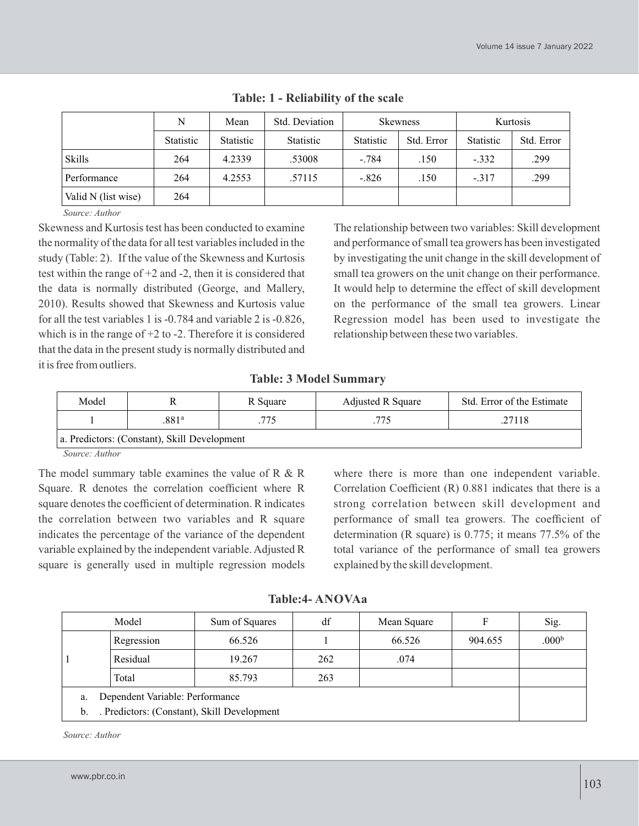|                     | N                | Mean      | Std. Deviation | <b>Skewness</b> |            | Kurtosis         |            |
|---------------------|------------------|-----------|----------------|-----------------|------------|------------------|------------|
|                     | <b>Statistic</b> | Statistic | Statistic      | Statistic       | Std. Error | <b>Statistic</b> | Std. Error |
| <b>Skills</b>       | 264              | 4.2339    | .53008         | $-.784$         | .150       | $-.332$          | .299       |
| Performance         | 264              | 4.2553    | .57115         | $-.826$         | .150       | $-.317$          | .299       |
| Valid N (list wise) | 264              |           |                |                 |            |                  |            |

|  |  |  | Table: 1 - Reliability of the scale |  |  |  |  |
|--|--|--|-------------------------------------|--|--|--|--|
|--|--|--|-------------------------------------|--|--|--|--|

*Source: Author*

Skewness and Kurtosis test has been conducted to examine the normality of the data for all test variables included in the study (Table: 2). If the value of the Skewness and Kurtosis test within the range of +2 and -2, then it is considered that the data is normally distributed (George, and Mallery, 2010). Results showed that Skewness and Kurtosis value for all the test variables 1 is -0.784 and variable 2 is -0.826, which is in the range of  $+2$  to  $-2$ . Therefore it is considered that the data in the present study is normally distributed and it is free from outliers.

The relationship between two variables: Skill development and performance of small tea growers has been investigated by investigating the unit change in the skill development of small tea growers on the unit change on their performance. It would help to determine the effect of skill development on the performance of the small tea growers. Linear Regression model has been used to investigate the relationship between these two variables.

#### **Table: 3 Model Summary**

| Model                                        |       | R Square | <b>Adjusted R Square</b> | Std. Error of the Estimate |  |  |  |
|----------------------------------------------|-------|----------|--------------------------|----------------------------|--|--|--|
|                                              | .881ª | .775     | .775                     | .27118                     |  |  |  |
| a. Predictors: (Constant), Skill Development |       |          |                          |                            |  |  |  |

*Source: Author*

The model summary table examines the value of  $R \& R$ Square. R denotes the correlation coefficient where R square denotes the coefficient of determination. R indicates the correlation between two variables and R square indicates the percentage of the variance of the dependent variable explained by the independent variable. Adjusted R square is generally used in multiple regression models where there is more than one independent variable. Correlation Coefficient (R) 0.881 indicates that there is a strong correlation between skill development and performance of small tea growers. The coefficient of determination (R square) is 0.775; it means 77.5% of the total variance of the performance of small tea growers explained by the skill development.

**Table:4- ANOVAa**

|                                       | Model                                       | Sum of Squares | df  | Mean Square |         | Sig.              |
|---------------------------------------|---------------------------------------------|----------------|-----|-------------|---------|-------------------|
|                                       | Regression                                  | 66.526         |     | 66.526      | 904.655 | .000 <sup>b</sup> |
|                                       | Residual                                    | 19.267         | 262 | .074        |         |                   |
|                                       | Total                                       | 85.793         | 263 |             |         |                   |
| Dependent Variable: Performance<br>a. |                                             |                |     |             |         |                   |
| b.                                    | . Predictors: (Constant), Skill Development |                |     |             |         |                   |

*Source: Author*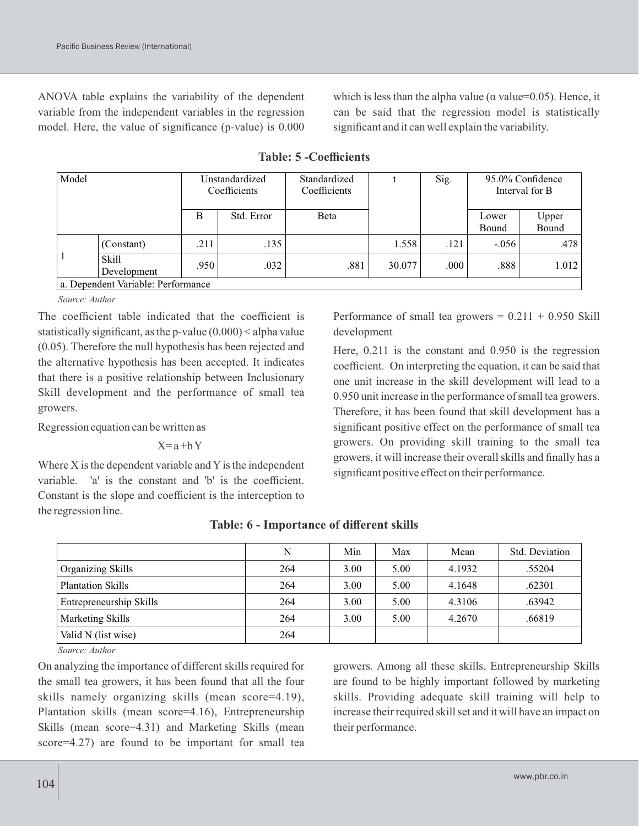ANOVA table explains the variability of the dependent variable from the independent variables in the regression model. Here, the value of significance (p-value) is 0.000

which is less than the alpha value ( $\alpha$  value=0.05). Hence, it can be said that the regression model is statistically significant and it can well explain the variability.

| Model        |                                    | Unstandardized<br>Coefficients |            | Standardized<br>Coefficients |        | Sig. |                | 95.0% Confidence<br>Interval for B |
|--------------|------------------------------------|--------------------------------|------------|------------------------------|--------|------|----------------|------------------------------------|
|              |                                    | B                              | Std. Error | Beta                         |        |      | Lower<br>Bound | Upper<br>Bound                     |
|              | (Constant)                         | .211                           | .135       |                              | 1.558  | .121 | $-.056$        | .478                               |
| $\mathbf{1}$ | <b>Skill</b><br>Development        | .950                           | .032       | .881                         | 30.077 | .000 | .888           | 1.012                              |
|              | a. Dependent Variable: Performance |                                |            |                              |        |      |                |                                    |

**Table: 5 -Coefficients**

*Source: Author*

The coefficient table indicated that the coefficient is statistically significant, as the p-value (0.000) < alpha value (0.05). Therefore the null hypothesis has been rejected and the alternative hypothesis has been accepted. It indicates that there is a positive relationship between Inclusionary Skill development and the performance of small tea growers.

Regression equation can be written as

 $X=a+bY$ 

Where  $X$  is the dependent variable and  $Y$  is the independent variable. 'a' is the constant and 'b' is the coefficient. Constant is the slope and coefficient is the interception to the regression line.

Performance of small tea growers  $= 0.211 + 0.950$  Skill development

Here, 0.211 is the constant and 0.950 is the regression coefficient. On interpreting the equation, it can be said that one unit increase in the skill development will lead to a 0.950 unit increase in the performance of small tea growers. Therefore, it has been found that skill development has a significant positive effect on the performance of small tea growers. On providing skill training to the small tea growers, it will increase their overall skills and finally has a significant positive effect on their performance.

|                          | N   | Min  | Max  | Mean   | Std. Deviation |
|--------------------------|-----|------|------|--------|----------------|
| Organizing Skills        | 264 | 3.00 | 5.00 | 4.1932 | .55204         |
| <b>Plantation Skills</b> | 264 | 3.00 | 5.00 | 4.1648 | .62301         |
| Entrepreneurship Skills  | 264 | 3.00 | 5.00 | 4.3106 | .63942         |
| Marketing Skills         | 264 | 3.00 | 5.00 | 4.2670 | .66819         |
| Valid N (list wise)      | 264 |      |      |        |                |

#### **Table: 6 - Importance of different skills**

*Source: Author*

On analyzing the importance of different skills required for the small tea growers, it has been found that all the four skills namely organizing skills (mean score=4.19), Plantation skills (mean score=4.16), Entrepreneurship Skills (mean score=4.31) and Marketing Skills (mean score=4.27) are found to be important for small tea

growers. Among all these skills, Entrepreneurship Skills are found to be highly important followed by marketing skills. Providing adequate skill training will help to increase their required skill set and it will have an impact on their performance.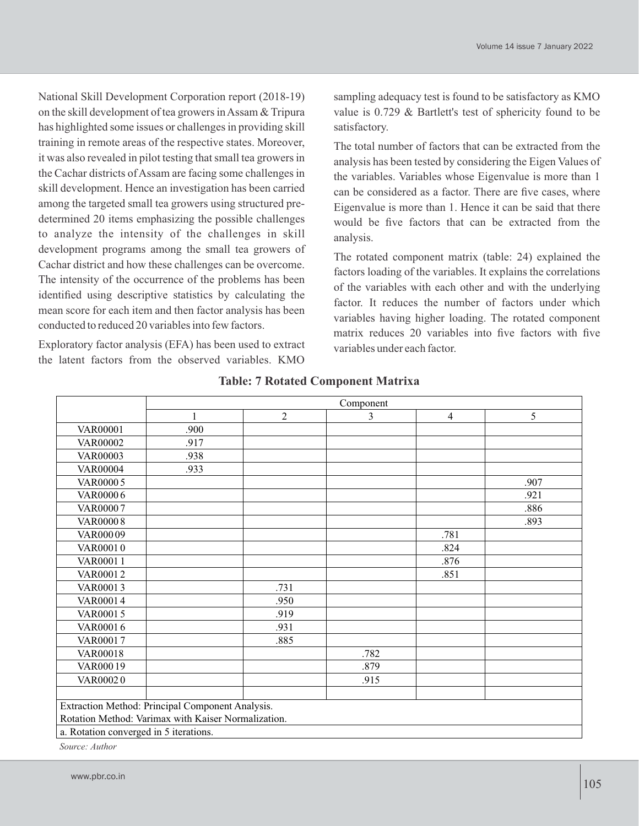National Skill Development Corporation report (2018-19) on the skill development of tea growers in Assam & Tripura has highlighted some issues or challenges in providing skill training in remote areas of the respective states. Moreover, it was also revealed in pilot testing that small tea growers in the Cachar districts of Assam are facing some challenges in skill development. Hence an investigation has been carried among the targeted small tea growers using structured predetermined 20 items emphasizing the possible challenges to analyze the intensity of the challenges in skill development programs among the small tea growers of Cachar district and how these challenges can be overcome. The intensity of the occurrence of the problems has been identified using descriptive statistics by calculating the mean score for each item and then factor analysis has been conducted to reduced 20 variables into few factors.

Exploratory factor analysis (EFA) has been used to extract the latent factors from the observed variables. KMO

sampling adequacy test is found to be satisfactory as KMO value is 0.729 & Bartlett's test of sphericity found to be satisfactory.

The total number of factors that can be extracted from the analysis has been tested by considering the Eigen Values of the variables. Variables whose Eigenvalue is more than 1 can be considered as a factor. There are five cases, where Eigenvalue is more than 1. Hence it can be said that there would be five factors that can be extracted from the analysis.

The rotated component matrix (table: 24) explained the factors loading of the variables. It explains the correlations of the variables with each other and with the underlying factor. It reduces the number of factors under which variables having higher loading. The rotated component matrix reduces 20 variables into five factors with five variables under each factor.

|                                        | Component                                           |                |                |                |      |  |  |
|----------------------------------------|-----------------------------------------------------|----------------|----------------|----------------|------|--|--|
|                                        | 1                                                   | $\overline{2}$ | $\overline{3}$ | $\overline{4}$ | 5    |  |  |
| <b>VAR00001</b>                        | .900                                                |                |                |                |      |  |  |
| VAR00002                               | .917                                                |                |                |                |      |  |  |
| <b>VAR00003</b>                        | .938                                                |                |                |                |      |  |  |
| <b>VAR00004</b>                        | .933                                                |                |                |                |      |  |  |
| <b>VAR00005</b>                        |                                                     |                |                |                | .907 |  |  |
| VAR00006                               |                                                     |                |                |                | .921 |  |  |
| VAR00007                               |                                                     |                |                |                | .886 |  |  |
| <b>VAR00008</b>                        |                                                     |                |                |                | .893 |  |  |
| VAR00009                               |                                                     |                |                | .781           |      |  |  |
| VAR00010                               |                                                     |                |                | .824           |      |  |  |
| <b>VAR00011</b>                        |                                                     |                |                | .876           |      |  |  |
| VAR00012                               |                                                     |                |                | .851           |      |  |  |
| VAR00013                               |                                                     | .731           |                |                |      |  |  |
| VAR00014                               |                                                     | .950           |                |                |      |  |  |
| VAR00015                               |                                                     | .919           |                |                |      |  |  |
| VAR00016                               |                                                     | .931           |                |                |      |  |  |
| VAR00017                               |                                                     | .885           |                |                |      |  |  |
| <b>VAR00018</b>                        |                                                     |                | .782           |                |      |  |  |
| VAR00019                               |                                                     |                | .879           |                |      |  |  |
| VAR00020                               |                                                     |                | .915           |                |      |  |  |
|                                        |                                                     |                |                |                |      |  |  |
|                                        | Extraction Method: Principal Component Analysis.    |                |                |                |      |  |  |
|                                        | Rotation Method: Varimax with Kaiser Normalization. |                |                |                |      |  |  |
| a. Rotation converged in 5 iterations. |                                                     |                |                |                |      |  |  |
|                                        |                                                     |                |                |                |      |  |  |

#### **Table: 7 Rotated Component Matrixa**

*Source: Author*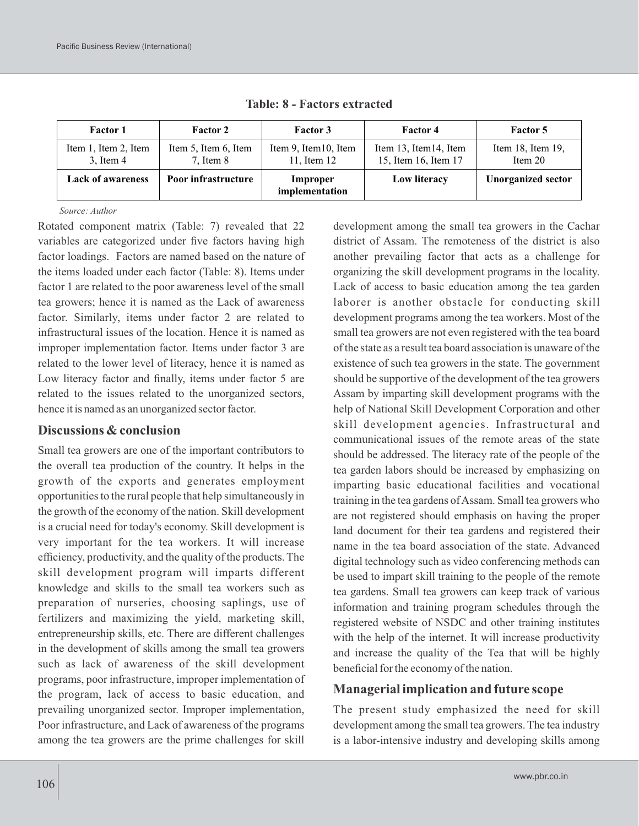| <b>Factor 1</b>                        | <b>Factor 2</b>                       | <b>Factor 3</b>                      | <b>Factor 4</b>                                | Factor 5                             |
|----------------------------------------|---------------------------------------|--------------------------------------|------------------------------------------------|--------------------------------------|
| Item 1, Item 2, Item<br>$3$ , Item $4$ | Item 5, Item 6, Item<br>$7.$ Item $8$ | Item 9, Item 10, Item<br>11, Item 12 | Item 13, Item 14, Item<br>15, Item 16, Item 17 | Item $18$ , Item $19$ ,<br>Item $20$ |
| <b>Lack of awareness</b>               | Poor infrastructure                   | Improper<br>implementation           | Low literacy                                   | <b>Unorganized sector</b>            |

**Table: 8 - Factors extracted**

*Source: Author*

Rotated component matrix (Table: 7) revealed that 22 variables are categorized under five factors having high factor loadings. Factors are named based on the nature of the items loaded under each factor (Table: 8). Items under factor 1 are related to the poor awareness level of the small tea growers; hence it is named as the Lack of awareness factor. Similarly, items under factor 2 are related to infrastructural issues of the location. Hence it is named as improper implementation factor. Items under factor 3 are related to the lower level of literacy, hence it is named as Low literacy factor and finally, items under factor 5 are related to the issues related to the unorganized sectors, hence it is named as an unorganized sector factor.

#### **Discussions & conclusion**

Small tea growers are one of the important contributors to the overall tea production of the country. It helps in the growth of the exports and generates employment opportunities to the rural people that help simultaneously in the growth of the economy of the nation. Skill development is a crucial need for today's economy. Skill development is very important for the tea workers. It will increase efficiency, productivity, and the quality of the products. The skill development program will imparts different knowledge and skills to the small tea workers such as preparation of nurseries, choosing saplings, use of fertilizers and maximizing the yield, marketing skill, entrepreneurship skills, etc. There are different challenges in the development of skills among the small tea growers such as lack of awareness of the skill development programs, poor infrastructure, improper implementation of the program, lack of access to basic education, and prevailing unorganized sector. Improper implementation, Poor infrastructure, and Lack of awareness of the programs among the tea growers are the prime challenges for skill

development among the small tea growers in the Cachar district of Assam. The remoteness of the district is also another prevailing factor that acts as a challenge for organizing the skill development programs in the locality. Lack of access to basic education among the tea garden laborer is another obstacle for conducting skill development programs among the tea workers. Most of the small tea growers are not even registered with the tea board of the state as a result tea board association is unaware of the existence of such tea growers in the state. The government should be supportive of the development of the tea growers Assam by imparting skill development programs with the help of National Skill Development Corporation and other skill development agencies. Infrastructural and communicational issues of the remote areas of the state should be addressed. The literacy rate of the people of the tea garden labors should be increased by emphasizing on imparting basic educational facilities and vocational training in the tea gardens of Assam. Small tea growers who are not registered should emphasis on having the proper land document for their tea gardens and registered their name in the tea board association of the state. Advanced digital technology such as video conferencing methods can be used to impart skill training to the people of the remote tea gardens. Small tea growers can keep track of various information and training program schedules through the registered website of NSDC and other training institutes with the help of the internet. It will increase productivity and increase the quality of the Tea that will be highly beneficial for the economy of the nation.

#### **Managerial implication and future scope**

The present study emphasized the need for skill development among the small tea growers. The tea industry is a labor-intensive industry and developing skills among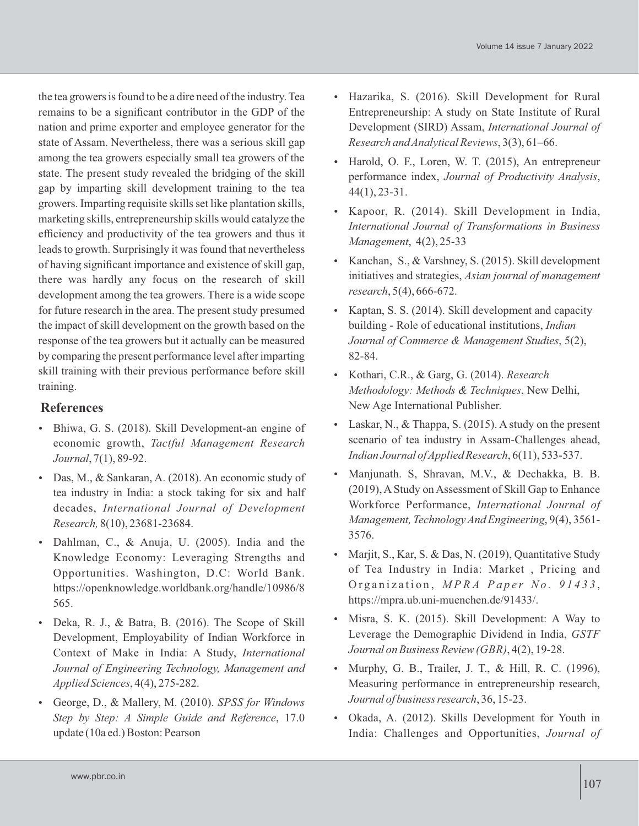the tea growers is found to be a dire need of the industry. Tea remains to be a significant contributor in the GDP of the nation and prime exporter and employee generator for the state of Assam. Nevertheless, there was a serious skill gap among the tea growers especially small tea growers of the state. The present study revealed the bridging of the skill gap by imparting skill development training to the tea growers. Imparting requisite skills set like plantation skills, marketing skills, entrepreneurship skills would catalyze the efficiency and productivity of the tea growers and thus it leads to growth. Surprisingly it was found that nevertheless of having significant importance and existence of skill gap, there was hardly any focus on the research of skill development among the tea growers. There is a wide scope for future research in the area. The present study presumed the impact of skill development on the growth based on the response of the tea growers but it actually can be measured by comparing the present performance level after imparting skill training with their previous performance before skill training.

#### **References**

- Bhiwa, G. S. (2018). Skill Development-an engine of economic growth, *Tactful Management Research Journal*, 7(1), 89-92.
- Das, M., & Sankaran, A. (2018). An economic study of tea industry in India: a stock taking for six and half decades, *International Journal of Development Research,* 8(10), 23681-23684.
- Dahlman, C., & Anuja, U. (2005). India and the Knowledge Economy: Leveraging Strengths and Opportunities. Washington, D.C: World Bank. https://openknowledge.worldbank.org/handle/10986/8 565.
- Deka, R. J., & Batra, B. (2016). The Scope of Skill Development, Employability of Indian Workforce in Context of Make in India: A Study, *International Journal of Engineering Technology, Management and Applied Sciences*, 4(4), 275-282.
- George, D., & Mallery, M. (2010). *SPSS for Windows Step by Step: A Simple Guide and Reference*, 17.0 update (10a ed.) Boston: Pearson
- Hazarika, S. (2016). Skill Development for Rural Entrepreneurship: A study on State Institute of Rural Development (SIRD) Assam, *International Journal of Research and Analytical Reviews*, 3(3), 61–66.
- Harold, O. F., Loren, W. T. (2015), An entrepreneur performance index, *Journal of Productivity Analysis*, 44(1), 23-31.
- Kapoor, R. (2014). Skill Development in India, *International Journal of Transformations in Business Management*, 4(2), 25-33
- Kanchan, S., & Varshney, S. (2015). Skill development initiatives and strategies, *Asian journal of management research*, 5(4), 666-672.
- Kaptan, S. S. (2014). Skill development and capacity building - Role of educational institutions, *Indian Journal of Commerce & Management Studies*, 5(2), 82-84.
- Kothari, C.R., & Garg, G. (2014). *Research Methodology: Methods & Techniques*, New Delhi, New Age International Publisher.
- Laskar, N., & Thappa, S. (2015). A study on the present scenario of tea industry in Assam-Challenges ahead, *Indian Journal of Applied Research*, 6(11), 533-537.
- Manjunath. S, Shravan, M.V., & Dechakka, B. B. (2019), AStudy on Assessment of Skill Gap to Enhance Workforce Performance, *International Journal of Management, Technology And Engineering*, 9(4), 3561- 3576.
- Marjit, S., Kar, S. & Das, N. (2019), Quantitative Study of Tea Industry in India: Market , Pricing and Organization, MPRA Paper No. 91433, https://mpra.ub.uni-muenchen.de/91433/.
- Misra, S. K. (2015). Skill Development: A Way to Leverage the Demographic Dividend in India, *GSTF Journal on Business Review (GBR)*, 4(2), 19-28.
- Murphy, G. B., Trailer, J. T., & Hill, R. C. (1996), Measuring performance in entrepreneurship research, *Journal of business research*, 36, 15-23.
- Okada, A. (2012). Skills Development for Youth in India: Challenges and Opportunities, *Journal of*